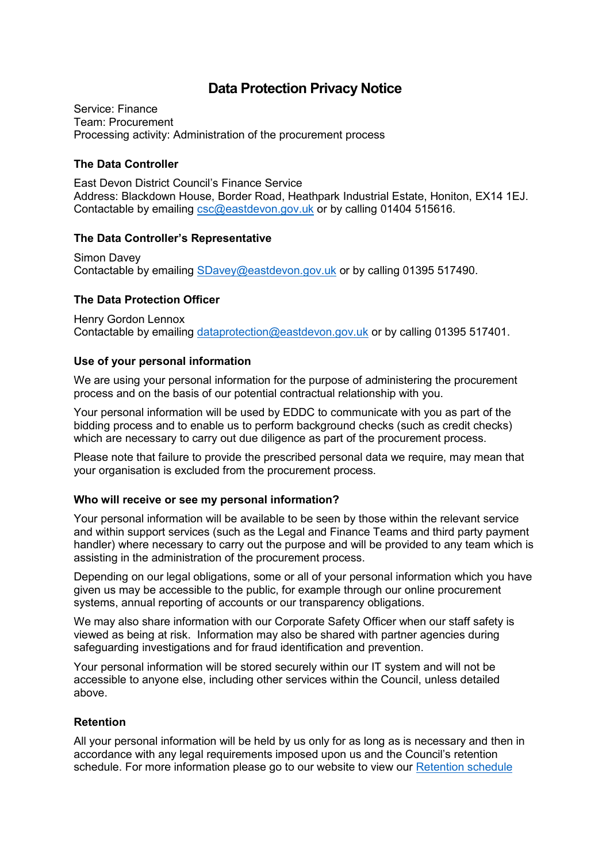# **Data Protection Privacy Notice**

Service: Finance Team: Procurement Processing activity: Administration of the procurement process

## **The Data Controller**

East Devon District Council's Finance Service Address: Blackdown House, Border Road, Heathpark Industrial Estate, Honiton, EX14 1EJ. Contactable by emailing [csc@eastdevon.gov.uk](mailto:csc@eastdevon.gov.uk) or by calling 01404 515616.

#### **The Data Controller's Representative**

Simon Davey Contactable by emailing [SDavey@eastdevon.gov.uk](mailto:SDavey@eastdevon.gov.uk) or by calling 01395 517490.

# **The Data Protection Officer**

Henry Gordon Lennox Contactable by emailing [dataprotection@eastdevon.gov.uk](mailto:dataprotection@eastdevon.gov.uk) or by calling 01395 517401.

# **Use of your personal information**

We are using your personal information for the purpose of administering the procurement process and on the basis of our potential contractual relationship with you.

Your personal information will be used by EDDC to communicate with you as part of the bidding process and to enable us to perform background checks (such as credit checks) which are necessary to carry out due diligence as part of the procurement process.

Please note that failure to provide the prescribed personal data we require, may mean that your organisation is excluded from the procurement process.

#### **Who will receive or see my personal information?**

Your personal information will be available to be seen by those within the relevant service and within support services (such as the Legal and Finance Teams and third party payment handler) where necessary to carry out the purpose and will be provided to any team which is assisting in the administration of the procurement process.

Depending on our legal obligations, some or all of your personal information which you have given us may be accessible to the public, for example through our online procurement systems, annual reporting of accounts or our transparency obligations.

We may also share information with our Corporate Safety Officer when our staff safety is viewed as being at risk. Information may also be shared with partner agencies during safeguarding investigations and for fraud identification and prevention.

Your personal information will be stored securely within our IT system and will not be accessible to anyone else, including other services within the Council, unless detailed above.

#### **Retention**

All your personal information will be held by us only for as long as is necessary and then in accordance with any legal requirements imposed upon us and the Council's retention schedule. For more information please go to our website to view our [Retention schedule](http://eastdevon.gov.uk/access-to-information/data-protection/document-retention-schedules/)